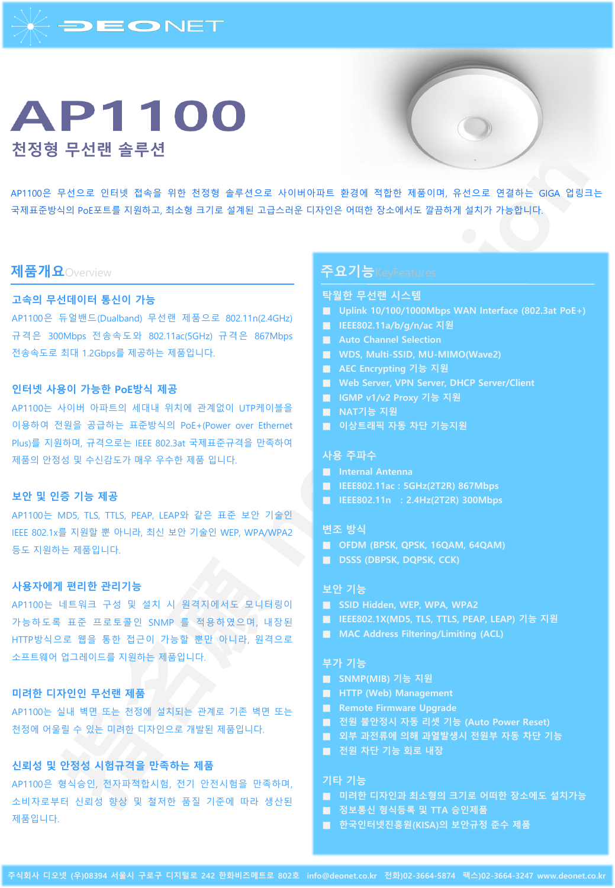

# **AP1100 천정형 무선랜 솔루션**



AP1100은 무선으로 인터넷 접속을 위한 천정형 솔루션으로 사이버아파트 환경에 적합한 제품이며, 유선으로 연결하는 GIGA 업링크는 국제표준방식의 PoE포트를 지원하고, 최소형 크기로 설계된 고급스러운 디자인은 어떠한 장소에서도 깔끔하게 설치가 가능합니다.

# **제품개요**Overview

# **고속의 무선데이터 통신이 가능**

AP1100은 듀얼밴드(Dualband) 무선랜 제품으로 802.11n(2.4GHz) 규격은 300Mbps 전송속도와 802.11ac(5GHz) 규격은 867Mbps 전송속도로 최대 1.2Gbps를 제공하는 제품입니다.

# **인터넷 사용이 가능한 PoE방식 제공**

AP1100는 사이버 아파트의 세대내 위치에 관계없이 UTP케이블을 이용하여 전원을 공급하는 표준방식의 PoE+(Power over Ethernet Plus)를 지원하며, 규격으로는 IEEE 802.3at 국제표준규격을 만족하여 제품의 안정성 및 수신감도가 매우 우수한 제품 입니다.

### **보안 및 인증 기능 제공**

AP1100는 MD5, TLS, TTLS, PEAP, LEAP와 같은 표준 보안 기술인 IEEE 802.1x를 지원할 뿐 아니라, 최신 보안 기술인 WEP, WPA/WPA2 등도 지원하는 제품입니다.

### **사용자에게 편리한 관리기능**

AP1100는 네트워크 구성 및 설치 시 원격지에서도 모니터링이 가능하도록 표준 프로토콜인 SNMP 를 적용하였으며, 내장된 HTTP방식으로 웹을 통한 접근이 가능할 뿐만 아니라, 원격으로 소프트웨어 업그레이드를 지원하는 제품입니다.

### **미려한 디자인인 무선랜 제품**

AP1100는 실내 벽면 또는 천정에 설치되는 관계로 기존 벽면 또는 천정에 어울릴 수 있는 미려한 디자인으로 개발된 제품입니다.

# **신뢰성 및 안정성 시험규격을 만족하는 제품**

AP1100은 형식승인, 전자파적합시험, 전기 안전시험을 만족하며, 소비자로부터 신뢰성 향상 및 철저한 품질 기준에 따라 생산된 제품입니다.

# **주요기능**KeyFeatures

### **탁월한 무선랜 시스템**

- **Uplink 10/100/1000Mbps WAN Interface (802.3at PoE+)**
- **IEEE802.11a/b/g/n/ac 지원**
- **Auto Channel Selection**
- **WDS, Multi-SSID, MU-MIMO(Wave2)**
- **AEC Encrypting 기능 지원**
- **Web Server, VPN Server, DHCP Server/Client**
- **IGMP v1/v2 Proxy 기능 지원**
- **NAT기능 지원**
- **이상트래픽 자동 차단 기능지원**

## **사용 주파수**

- **Internal Antenna**
- **IEEE802.11ac : 5GHz(2T2R) 867Mbps**
- **IEEE802.11n : 2.4Hz(2T2R) 300Mbps**

### **변조 방식**

- **OFDM (BPSK, QPSK, 16QAM, 64QAM)**
- **DSSS (DBPSK, DQPSK, CCK)**

### **보안 기능**

- **SSID Hidden, WEP, WPA, WPA2**
- **IEEE802.1X(MD5, TLS, TTLS, PEAP, LEAP) 기능 지원**
- **MAC Address Filtering/Limiting (ACL)**

### **부가 기능**

- **SNMP(MIB) 기능 지원**
- **HTTP (Web) Management**
- **Remote Firmware Upgrade**
- **전원 불안정시 자동 리셋 기능 (Auto Power Reset)**
- **외부 과전류에 의해 과열발생시 전원부 자동 차단 기능**
- **전원 차단 기능 회로 내장**

#### **기타 기능**

- **미려한 디자인과 최소형의 크기로 어떠한 장소에도 설치가능**
- **정보통신 형식등록 및 TTA 승인제품**
- **한국인터넷진흥원(KISA)의 보안규정 준수 제품**